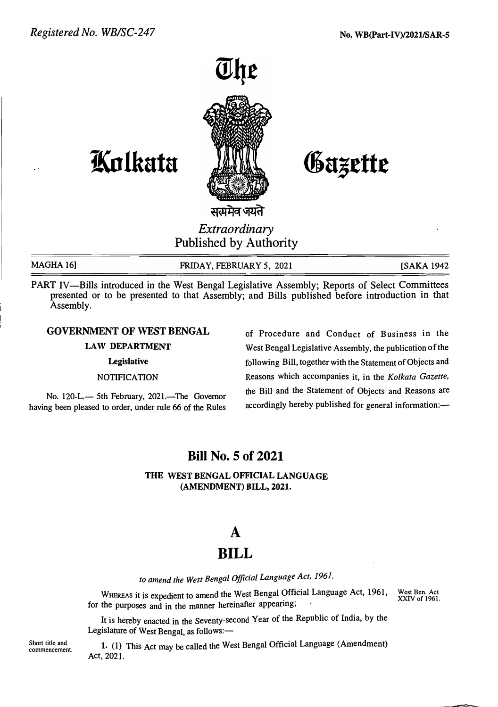

# **ifutlkata**

Gazette

सत्यमेव जयते

## *Extraordinary*  Published by Authority

**MAGHA 16]** 

**FRIDAY, FEBRUARY 5, 2021 [SAKA 1942** 

PART IV-Bills introduced in the West Bengal Legislative Assembly; Reports of Select Committees presented or to be presented to that Assembly; and Bills published before introduction in that Assembly.

### **GOVERNMENT OF WEST BENGAL**

#### **LAW DEPARTMENT**

**Legislative** 

#### **NOTIFICATION**

No. 120-L.— 5th February, 2021.—The Governor **having been pleased to order, under rule 66 of the Rules** 

**of Procedure and Conduct of Business in the West Bengal Legislative Assembly, the publication of the following Bill, together with the Statement of Objects and Reasons which accompanies it, in the** *Kolkata Gazette,* **the Bill and the Statement of Objects and Reasons are**  accordingly hereby published for general information:-

## **Bill No. 5 of 2021**

**THE WEST BENGAL OFFICIAL LANGUAGE (AMENDMENT) BILL, 2021.** 

## **A**

## **BILL**

*to amend the West Bengal Official Language Act, 1961.*

WHEREAS it is expedient to amend the West Bengal Official Language Act, 1961, **for the purposes and in the manner hereinafter appeanng; West Ben. Act XXIV of 1961.** 

**It is hereby enacted in the Seventy-second Year of the Republic of India, by the** Legislature of West Bengal, as follows:-

**1. (1) This Act may be called the West Bengal Official Language (Amendment) Act, 2021.** 

**Short title and commencement.**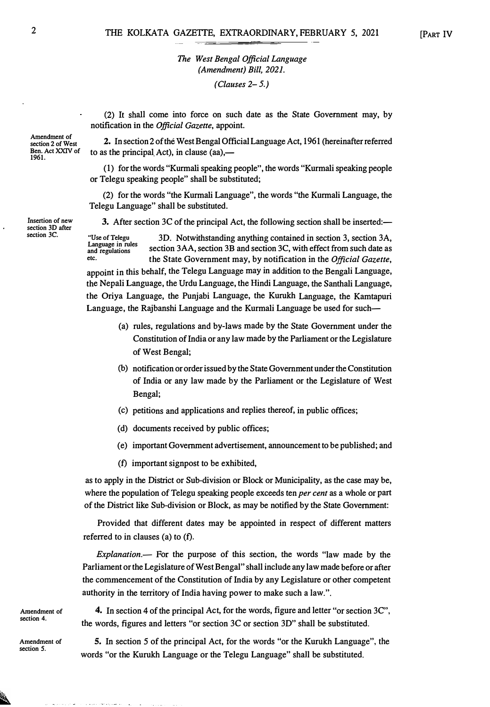## *The West Bengal Official Language (Amendment) Bill, 2021.*

*(Clauses 2-5.)* 

*n* otification in the *Official Gazette*, appoint. (2) It shall come into force on such date as the State Government may, by

**2. In section 2 of the West Bengal Official Language Act, 1961 (hereinafter referred to as the principal Act), in clause (aa),—** 

(1) for the words "Kurmali speaking people", the words "Kurmali speaking people **or Telegu speaking people" shall be substituted;** 

**(2) for the words "the Kurmali Language", the words "the Kurmali Languag<sup>e</sup>, th<sup>e</sup> Telegu Language" shall be substituted.** 

3. After section 3C of the principal Act, the following section shall be inserted:—

**"Use of Telegu 3D. Notwithstanding anything contained in section 3, section 3A, Language in rules**  section 3AA, section 3B and section 3C, with effect from such date as **etc. the State Government may, by notification in the** *Official Gazette,*

appoint in this behalf, the Telegu Language may in addition to the Bengali Language, **the Nepali Languag<sup>e</sup>, the Urdu Language, the Hindi Languag<sup>e</sup>, the Santhali Languag<sup>e</sup>, the Oriya Languag<sup>e</sup>, the Punjabi Languag<sup>e</sup>, the Kurukh Languag<sup>e</sup>, the Kamtapuri Languag<sup>e</sup>, the Rajbanshi Language and the Kurmali Language be used for such-**

- **(a) rules, regulations and by-laws made by the State Government under th<sup>e</sup> Constitution of India or any law made by the Parliament or the Legislatur<sup>e</sup> of West Bengal;**
- (b) notification or order issued by the State Government under the Constitution **of India or any law made by the Parliament or the Legislature of Wes<sup>t</sup> Bengal;**
- **(c) petitions and applications and replies thereof, in public offices;**
- **(d) documents received by public offices;**
- (e) important Government advertisement, announcement to be published; and
- **(f) important signpost to be exhibited,**

**as to apply in the District or Sub-division or Block or Municipality, as the case may b<sup>e</sup>, where the population of Telegu speaking people exceeds ten** *per cent* **as a whole or par<sup>t</sup> of the District like Sub-division or Block, as may be notified by the S<sup>t</sup>ate Gov<sup>e</sup>rnment:** 

Provided that different dates may be appointed in respect of different matters **referred to in clauses (a) to (f).** 

*Explanation.-* **For the purpose of this section, the words "law made by th<sup>e</sup> Parliament or the Legislature of West Bengal" shall include any law made before or after the commencement of the Constitution of India by any Legislature or other competent au<sup>t</sup>hority in the territory of India having power to make such a law.".** 

**Amendment of section 4.** 

**Amendment of section** *5.*

 $\frac{1}{2} \frac{1}{2} \frac{1}{2} \frac{1}{2} \frac{1}{2}$ 

enging the contract of the

**4. In section 4 of the principal Ac<sup>t</sup>, for the words, figure and letter "or section 3C", the words, figures and letters "or section 3C or section 3D" shall be substituted.** 

**5. In section** *5* **of the principal Act, for the words "or the Kurukh Language", the words "or the Kurukh Language or the Telegu Language" shall be substituted.** 

**Amendment of section 2 of West Ben. Act XXIV of 1961.** 

**Insertion of new section 3D after section 3C.** 

2